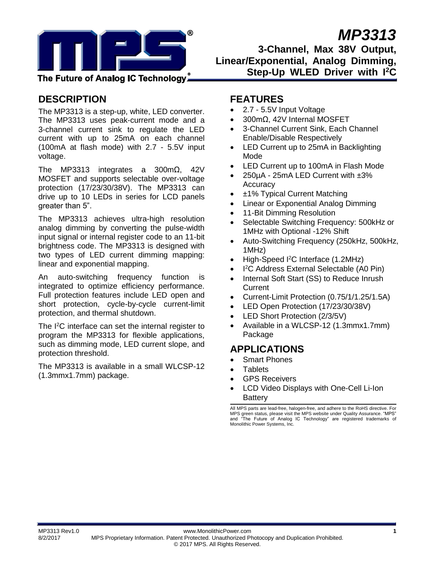

# *MP3313*

**3-Channel, Max 38V Output, Linear/Exponential, Analog Dimming, Step-Up WLED Driver with I<sup>2</sup>C**

## The Future of Analog IC Technologyٌ

## **DESCRIPTION**

The MP3313 is a step-up, white, LED converter. The MP3313 uses peak-current mode and a 3-channel current sink to regulate the LED current with up to 25mA on each channel (100mA at flash mode) with 2.7 - 5.5V input voltage.

The MP3313 integrates a 300mΩ, 42V MOSFET and supports selectable over-voltage protection (17/23/30/38V). The MP3313 can drive up to 10 LEDs in series for LCD panels greater than 5".

The MP3313 achieves ultra-high resolution analog dimming by converting the pulse-width input signal or internal register code to an 11-bit brightness code. The MP3313 is designed with two types of LED current dimming mapping: linear and exponential mapping.

An auto-switching frequency function is integrated to optimize efficiency performance. Full protection features include LED open and short protection, cycle-by-cycle current-limit protection, and thermal shutdown.

The I<sup>2</sup>C interface can set the internal register to program the MP3313 for flexible applications, such as dimming mode, LED current slope, and protection threshold.

The MP3313 is available in a small WLCSP-12 (1.3mmx1.7mm) package.

## **FEATURES**

- 2.7 5.5V Input Voltage
- 300mΩ, 42V Internal MOSFET
- 3-Channel Current Sink, Each Channel Enable/Disable Respectively
- LED Current up to 25mA in Backlighting Mode
- LED Current up to 100mA in Flash Mode
- 250µA 25mA LED Current with ±3% **Accuracy**
- ±1% Typical Current Matching
- Linear or Exponential Analog Dimming
- 11-Bit Dimming Resolution
- Selectable Switching Frequency: 500kHz or 1MHz with Optional -12% Shift
- Auto-Switching Frequency (250kHz, 500kHz, 1MHz)
- High-Speed <sup>2</sup>C Interface (1.2MHz)
- I<sup>2</sup>C Address External Selectable (A0 Pin)
- Internal Soft Start (SS) to Reduce Inrush **Current**
- Current-Limit Protection (0.75/1/1.25/1.5A)
- LED Open Protection (17/23/30/38V)
- LED Short Protection (2/3/5V)
- Available in a WLCSP-12 (1.3mmx1.7mm) Package

## **APPLICATIONS**

- Smart Phones
- **Tablets**
- GPS Receivers
- LCD Video Displays with One-Cell Li-Ion **Battery**

All MPS parts are lead-free, halogen-free, and adhere to the RoHS directive. For MPS green status, please visit the MPS website under Quality Assurance. "MPS" and "The Future of Analog IC Technology" are registered trademarks of Monolithic Power Systems, Inc.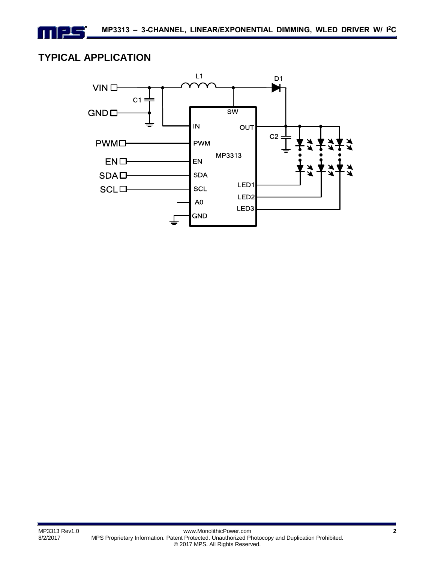## **TYPICAL APPLICATION**

n 125

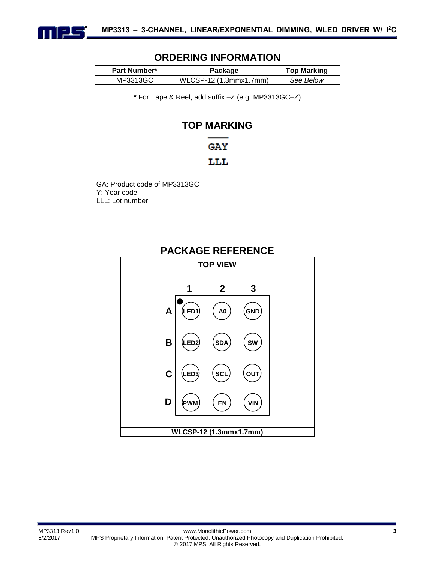

## **ORDERING INFORMATION**

| Part Number* | Package                 | <b>Top Marking</b> |
|--------------|-------------------------|--------------------|
| MP3313GC     | $WLCSP-12(1.3mmx1.7mm)$ | See Below          |

**\*** For Tape & Reel, add suffix –Z (e.g. MP3313GC–Z)

## **TOP MARKING**

## **GAY**

## LLL

GA: Product code of MP3313GC Y: Year code LLL: Lot number

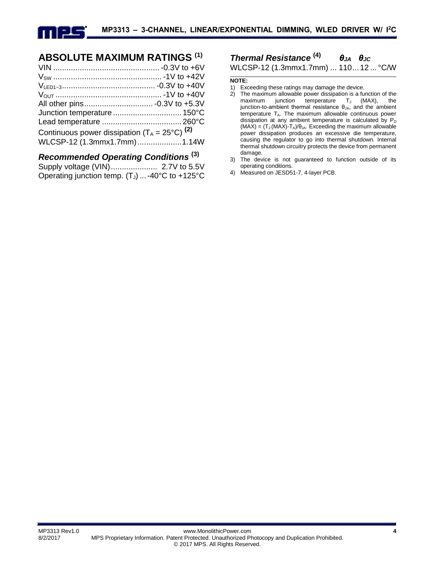

## **ABSOLUTE MAXIMUM RATINGS (1)**

| Junction temperature  150°C                              |  |
|----------------------------------------------------------|--|
|                                                          |  |
| Continuous power dissipation $(T_A = 25^{\circ}C)^{(2)}$ |  |
| WLCSP-12 (1.3mmx1.7mm)1.14W                              |  |

## *Recommended Operating Conditions* **(3)**

| Operating junction temp. $(T_J)$ -40°C to +125°C |  |
|--------------------------------------------------|--|

*Thermal Resistance* **(4)** *θJA θJC*

WLCSP-12 (1.3mmx1.7mm) ... 110...12 ... °C/W

#### **NOTE:**

- 1) Exceeding these ratings may damage the device.
- 2) The maximum allowable power dissipation is a function of the maximum junction temperature  $T_J$  (MAX), the junction-to-ambient thermal resistance  $\theta_{JA}$ , and the ambient  $t$ emperature  $T_A$ . The maximum allowable continuous power dissipation at any ambient temperature is calculated by  $P_D$  $(MAX) = (T_J (MAX) - T_A)/\theta_{JA}$ . Exceeding the maximum allowable power dissipation produces an excessive die temperature, causing the regulator to go into thermal shutdown. Internal thermal shutdown circuitry protects the device from permanent damage.
- 3) The device is not guaranteed to function outside of its operating conditions.
- 4) Measured on JESD51-7, 4-layer PCB.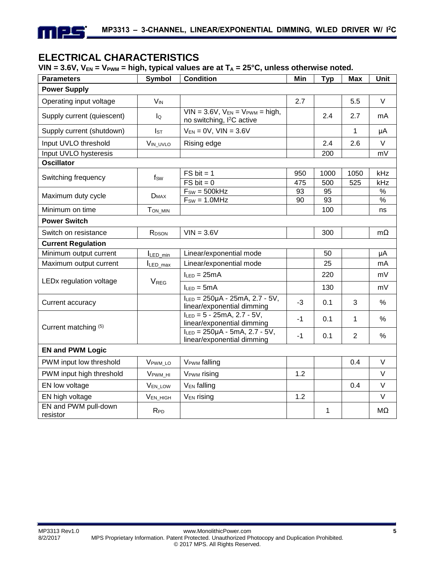## **ELECTRICAL CHARACTERISTICS**

## VIN =  $3.6V$ ,  $V_{EN}$  =  $V_{PWM}$  = high, typical values are at  $T_A$  =  $25^{\circ}$ C, unless otherwise noted.

| <b>Parameters</b>                | <b>Symbol</b>         | <b>Condition</b>                                                              | Min  | <b>Typ</b> | <b>Max</b>     | Unit          |
|----------------------------------|-----------------------|-------------------------------------------------------------------------------|------|------------|----------------|---------------|
| <b>Power Supply</b>              |                       |                                                                               |      |            |                |               |
| Operating input voltage          | <b>V<sub>IN</sub></b> |                                                                               | 2.7  |            | 5.5            | V             |
| Supply current (quiescent)       | lQ                    | $VIN = 3.6V$ , $VEN = VPWM = high$ ,<br>no switching, I <sup>2</sup> C active |      | 2.4        | 2.7            | mA            |
| Supply current (shutdown)        | Is <sub>T</sub>       | $V_{EN} = 0V$ , $VIN = 3.6V$                                                  |      |            | 1              | μA            |
| Input UVLO threshold             | VIN_UVLO              | Rising edge                                                                   |      | 2.4        | 2.6            | $\vee$        |
| Input UVLO hysteresis            |                       |                                                                               |      | 200        |                | mV            |
| <b>Oscillator</b>                |                       |                                                                               |      |            |                |               |
| Switching frequency              | $f_{SW}$              | $FS$ bit = 1                                                                  | 950  | 1000       | 1050           | kHz           |
|                                  |                       | $FS$ bit = 0                                                                  | 475  | 500        | 525            | kHz           |
| Maximum duty cycle               | $D_{MAX}$             | $F_{SW} = 500kHz$                                                             | 93   | 95         |                | $\frac{9}{6}$ |
|                                  |                       | $F_{SW} = 1.0 MHz$                                                            | 90   | 93         |                | $\frac{9}{6}$ |
| Minimum on time                  | T <sub>ON_MIN</sub>   |                                                                               |      | 100        |                | ns            |
| <b>Power Switch</b>              |                       |                                                                               |      |            |                |               |
| Switch on resistance             | RDSON                 | $VIN = 3.6V$                                                                  |      | 300        |                | $m\Omega$     |
| <b>Current Regulation</b>        |                       |                                                                               |      |            |                |               |
| Minimum output current           | ILED_min              | Linear/exponential mode                                                       |      | 50         |                | μA            |
| Maximum output current           | $I_{LED\_max}$        | Linear/exponential mode                                                       |      | 25         |                | mA            |
|                                  | $V_{\text{REG}}$      | $I_{LED} = 25mA$                                                              |      | 220        |                | mV            |
| LEDx regulation voltage          |                       | $I_{LED} = 5mA$                                                               |      | 130        |                | mV            |
| Current accuracy                 |                       | $I_{LED} = 250 \mu A - 25 mA$ , 2.7 - 5V,<br>linear/exponential dimming       | $-3$ | 0.1        | 3              | $\%$          |
| Current matching (5)             |                       | $I_{LED} = 5 - 25mA, 2.7 - 5V,$<br>linear/exponential dimming                 | $-1$ | 0.1        | 1              | $\%$          |
|                                  |                       | $I_{LED} = 250 \mu A - 5 mA$ , 2.7 - 5V,<br>linear/exponential dimming        | $-1$ | 0.1        | $\overline{2}$ | %             |
| <b>EN and PWM Logic</b>          |                       |                                                                               |      |            |                |               |
| PWM input low threshold          | VPWM LO               | <b>VPWM</b> falling                                                           |      |            | 0.4            | $\vee$        |
| PWM input high threshold         | V <sub>PWM</sub> HI   | V <sub>PWM</sub> rising                                                       | 1.2  |            |                | $\vee$        |
| EN low voltage                   | V <sub>EN_LOW</sub>   | V <sub>EN</sub> falling                                                       |      |            | 0.4            | $\vee$        |
| EN high voltage                  | VEN_HIGH              | V <sub>EN</sub> rising                                                        | 1.2  |            |                | $\vee$        |
| EN and PWM pull-down<br>resistor | RPD                   |                                                                               |      | 1          |                | MΩ            |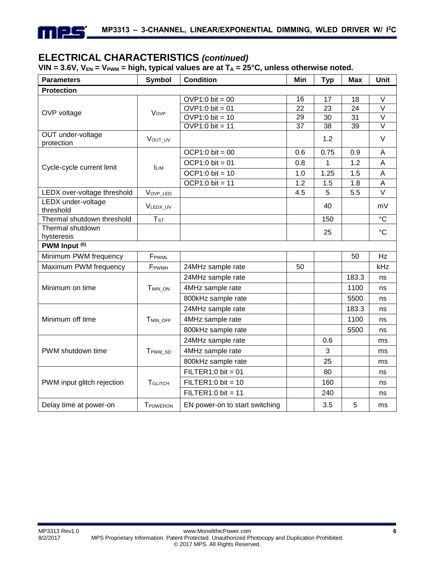

## **ELECTRICAL CHARACTERISTICS** *(continued)*

VIN =  $3.6V$ ,  $V_{EN}$  =  $V_{PWM}$  = high, typical values are at  $T_A$  =  $25^{\circ}$ C, unless otherwise noted.

| <b>Parameters</b>               | <b>Symbol</b>          | <b>Condition</b>               | Min             | <b>Typ</b> | <b>Max</b>      | Unit              |
|---------------------------------|------------------------|--------------------------------|-----------------|------------|-----------------|-------------------|
| <b>Protection</b>               |                        |                                |                 |            |                 |                   |
|                                 |                        | $OVP1:0 bit = 00$              | 16              | 17         | 18              | V                 |
| OVP voltage                     | Vove                   | $OVP1:0$ bit = 01              | $\overline{22}$ | 23         | 24              | $\vee$            |
|                                 |                        | $OVP1:0$ bit = 10              | 29              | 30         | 31              | $\vee$            |
|                                 |                        | $\overline{OVP1:0}$ bit = 11   | $\overline{37}$ | 38         | $\overline{39}$ | $\overline{\vee}$ |
| OUT under-voltage<br>protection | VOUT UV                |                                |                 | 1.2        |                 | $\vee$            |
|                                 |                        | $OCP1:0$ bit = 00              | 0.6             | 0.75       | 0.9             | A                 |
| Cycle-cycle current limit       | <b>LIM</b>             | $OCP1:0$ bit = 01              | 0.8             | 1          | 1.2             | A                 |
|                                 |                        | $OCP1:0$ bit = 10              | 1.0             | 1.25       | 1.5             | A                 |
|                                 |                        | $OCP1:0$ bit = 11              | 1.2             | 1.5        | 1.8             | A                 |
| LEDX over-voltage threshold     | VOVP_LED               |                                | 4.5             | 5          | 5.5             | $\vee$            |
| LEDX under-voltage<br>threshold | VLEDX_UV               |                                |                 | 40         |                 | mV                |
| Thermal shutdown threshold      | <b>T</b> <sub>ST</sub> |                                |                 | 150        |                 | $\rm ^{\circ}C$   |
| Thermal shutdown<br>hysteresis  |                        |                                |                 | 25         |                 | $\rm ^{\circ}C$   |
| PWM Input <sup>(6)</sup>        |                        |                                |                 |            |                 |                   |
| Minimum PWM frequency           | FPWML                  |                                |                 |            | 50              | Hz                |
| Maximum PWM frequency           | FPWMH                  | 24MHz sample rate              | 50              |            |                 | kHz               |
|                                 |                        | 24MHz sample rate              |                 |            | 183.3           | ns                |
| Minimum on time                 | T <sub>MIN</sub> ON    | 4MHz sample rate               |                 |            | 1100            | ns                |
|                                 |                        | 800kHz sample rate             |                 |            | 5500            | ns                |
|                                 |                        | 24MHz sample rate              |                 |            | 183.3           | ns                |
| Minimum off time                | T <sub>MIN_OFF</sub>   | 4MHz sample rate               |                 |            | 1100            | ns                |
|                                 |                        | 800kHz sample rate             |                 |            | 5500            | ns                |
|                                 |                        | 24MHz sample rate              |                 | 0.6        |                 | ms                |
| PWM shutdown time               | T <sub>PWM</sub> SD    | 4MHz sample rate               |                 | 3          |                 | ms                |
|                                 |                        | 800kHz sample rate             |                 | 25         |                 | ms                |
|                                 |                        | $FILTER1:0 bit = 01$           |                 | 80         |                 | ns                |
| PWM input glitch rejection      | <b>T</b> GLITCH        | $FILTER1:0 bit = 10$           |                 | 160        |                 | ns                |
|                                 |                        | $FILTER1:0 bit = 11$           |                 | 240        |                 | ns                |
| Delay time at power-on          | <b>TPOWERON</b>        | EN power-on to start switching |                 | 3.5        | 5               | ms                |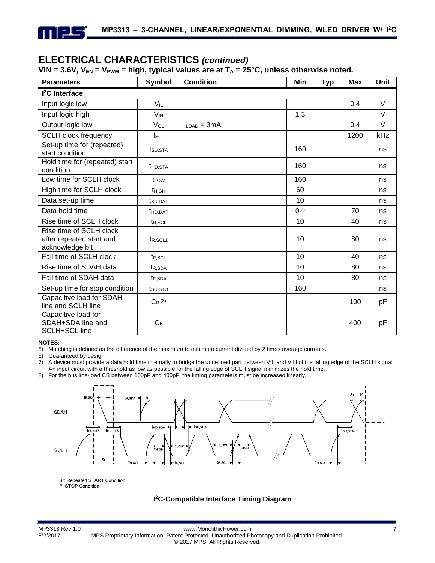## **ELECTRICAL CHARACTERISTICS** *(continued)*

#### VIN =  $3.6V$ ,  $V_{EN}$  =  $V_{PWM}$  = high, typical values are at  $T_A$  =  $25^{\circ}$ C, unless otherwise noted.

| <b>Parameters</b>                                                      | Symbol                | <b>Condition</b> | Min       | <b>Typ</b> | <b>Max</b> | Unit |
|------------------------------------------------------------------------|-----------------------|------------------|-----------|------------|------------|------|
| <sup>2</sup> C Interface                                               |                       |                  |           |            |            |      |
| Input logic low                                                        | <b>V<sub>IL</sub></b> |                  |           |            | 0.4        | V    |
| Input logic high                                                       | V <sub>IH</sub>       |                  | 1.3       |            |            | V    |
| Output logic low                                                       | VOL                   | $I_{LOAD} = 3mA$ |           |            | 0.4        | V    |
| <b>SCLH clock frequency</b>                                            | $f_{SCL}$             |                  |           |            | 1200       | kHz  |
| Set-up time for (repeated)<br>start condition                          | t <sub>su,sta</sub>   |                  | 160       |            |            | ns   |
| Hold time for (repeated) start<br>condition                            | t <sub>HD</sub> , STA |                  | 160       |            |            | ns   |
| Low time for SCLH clock                                                | t <sub>LOW</sub>      |                  | 160       |            |            | ns   |
| High time for SCLH clock                                               | thigh                 |                  | 60        |            |            | ns   |
| Data set-up time                                                       | tsu.dat               |                  | 10        |            |            | ns   |
| Data hold time                                                         | THD.DAT               |                  | $0^{(7)}$ |            | 70         | ns   |
| Rise time of SCLH clock                                                | t <sub>R,SCL</sub>    |                  | 10        |            | 40         | ns   |
| Rise time of SCLH clock<br>after repeated start and<br>acknowledge bit | t <sub>R,SCL1</sub>   |                  | 10        |            | 80         | ns   |
| Fall time of SCLH clock                                                | $t_{F.SCL}$           |                  | 10        |            | 40         | ns   |
| Rise time of SDAH data                                                 | t <sub>R.SDA</sub>    |                  | 10        |            | 80         | ns   |
| Fall time of SDAH data                                                 | t <sub>F,SDA</sub>    |                  | 10        |            | 80         | ns   |
| Set-up time for stop condition                                         | $t_{\text{SU,STO}}$   |                  | 160       |            |            | ns   |
| Capacitive load for SDAH<br>line and SCLH line                         | $C_B$ (8)             |                  |           |            | 100        | pF   |
| Capacitive load for<br>SDAH+SDA line and<br><b>SCLH+SCL line</b>       | $C_B$                 |                  |           |            | 400        | pF   |

#### **NOTES:**

5) Matching is defined as the difference of the maximum to minimum current divided by 2 times average currents.

6) Guaranteed by design.<br>
7) A device must provide

7) A device must provide a data hold time internally to bridge the undefined part between VIL and VIH of the falling edge of the SCLH signal. An input circuit with a threshold as low as possible for the falling edge of SCLH signal minimizes the hold time.

8) For the bus line-load CB between 100pF and 400pF, the timing parameters must be increased linearly.



Sr: Repeated START Condition P: STOP Condition

#### **I 2C-Compatible Interface Timing Diagram**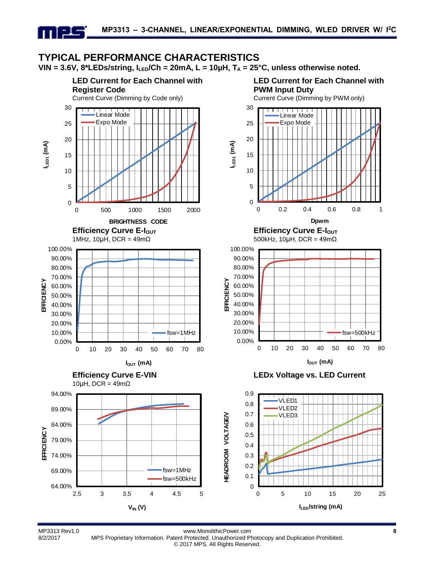## **TYPICAL PERFORMANCE CHARACTERISTICS**

**VIN = 3.6V, 8\*LEDs/string, ILED/Ch = 20mA, L = 10µH, T<sup>A</sup> = 25°C, unless otherwise noted.**

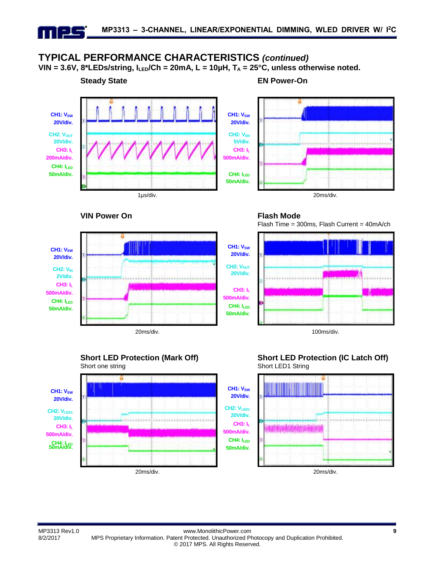## **TYPICAL PERFORMANCE CHARACTERISTICS** *(continued)*

 $VIN = 3.6V$ ,  $8*LEDs/string$ ,  $I_{LED}/Ch = 20mA$ ,  $L = 10\mu H$ ,  $T_A = 25^{\circ}C$ , unless otherwise noted.



#### **VIN Power On Flash Mode**





Flash Time = 300ms, Flash Current = 40mA/ch



**Short LED Protection (Mark Off)** Short one string



## **Short LED Protection (IC Latch Off)** Short LED1 String

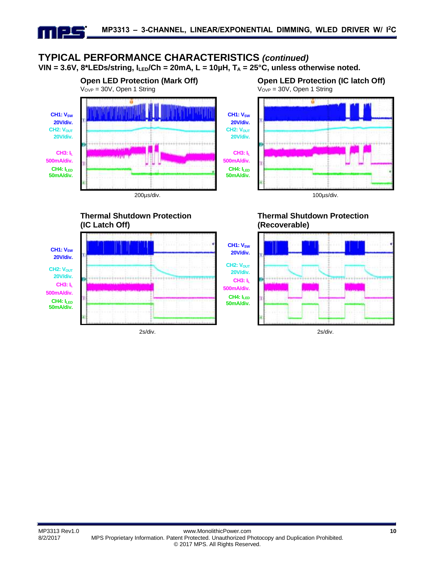## **TYPICAL PERFORMANCE CHARACTERISTICS** *(continued)*  $VIN = 3.6V$ ,  $8*LEDs/string$ ,  $I_{LED}/Ch = 20mA$ ,  $L = 10\mu H$ ,  $T_A = 25^{\circ}C$ , unless otherwise noted.



**Thermal Shutdown Protection**



**Open LED Protection (IC latch Off)** VOVP = 30V, Open 1 String



## **Thermal Shutdown Protection (Recoverable)**

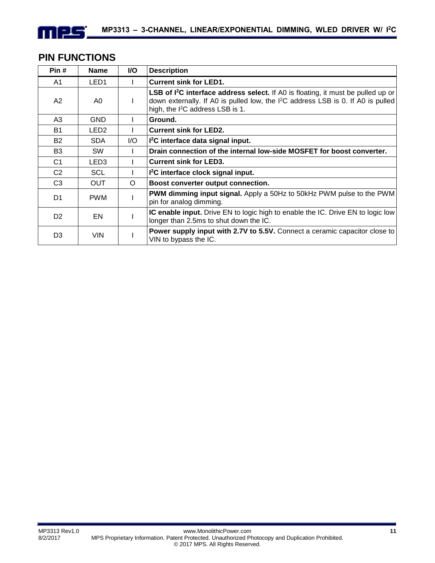## **PIN FUNCTIONS**

mee

| Pin#           | <b>Name</b>      | I/O     | <b>Description</b>                                                                                                                                                                                                                                |
|----------------|------------------|---------|---------------------------------------------------------------------------------------------------------------------------------------------------------------------------------------------------------------------------------------------------|
| A1             | LED <sub>1</sub> |         | <b>Current sink for LED1.</b>                                                                                                                                                                                                                     |
| A2             | A0               |         | <b>LSB of I<sup>2</sup>C interface address select.</b> If A0 is floating, it must be pulled up or<br>down externally. If A0 is pulled low, the I <sup>2</sup> C address LSB is 0. If A0 is pulled<br>high, the I <sup>2</sup> C address LSB is 1. |
| A3             | <b>GND</b>       |         | Ground.                                                                                                                                                                                                                                           |
| <b>B1</b>      | LED <sub>2</sub> |         | <b>Current sink for LED2.</b>                                                                                                                                                                                                                     |
| <b>B2</b>      | <b>SDA</b>       | I/O     | I <sup>2</sup> C interface data signal input.                                                                                                                                                                                                     |
| B <sub>3</sub> | <b>SW</b>        |         | Drain connection of the internal low-side MOSFET for boost converter.                                                                                                                                                                             |
| C <sub>1</sub> | LED <sub>3</sub> |         | <b>Current sink for LED3.</b>                                                                                                                                                                                                                     |
| C <sub>2</sub> | <b>SCL</b>       |         | I <sup>2</sup> C interface clock signal input.                                                                                                                                                                                                    |
| C <sub>3</sub> | <b>OUT</b>       | $\circ$ | Boost converter output connection.                                                                                                                                                                                                                |
| D1             | <b>PWM</b>       |         | <b>PWM dimming input signal.</b> Apply a 50Hz to 50kHz PWM pulse to the PWM<br>pin for analog dimming.                                                                                                                                            |
| D <sub>2</sub> | EN               |         | <b>IC enable input.</b> Drive EN to logic high to enable the IC. Drive EN to logic low<br>longer than 2.5ms to shut down the IC.                                                                                                                  |
| D <sub>3</sub> | <b>VIN</b>       |         | Power supply input with 2.7V to 5.5V. Connect a ceramic capacitor close to<br>VIN to bypass the IC.                                                                                                                                               |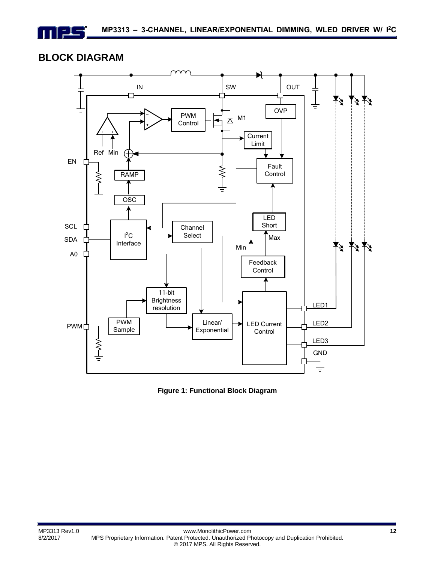## **BLOCK DIAGRAM**

 $\equiv$ 



**Figure 1: Functional Block Diagram**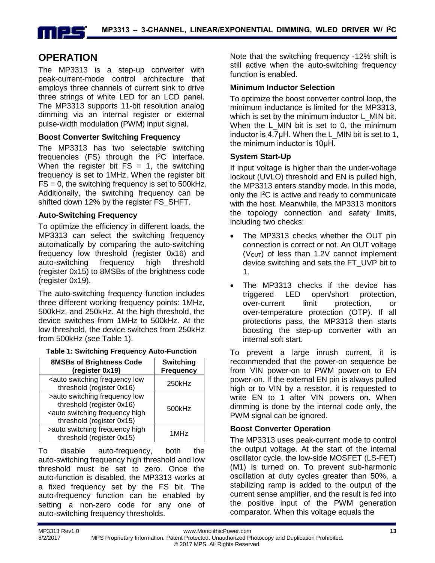

## **OPERATION**

The MP3313 is a step-up converter with peak-current-mode control architecture that employs three channels of current sink to drive three strings of white LED for an LCD panel. The MP3313 supports 11-bit resolution analog dimming via an internal register or external pulse-width modulation (PWM) input signal.

#### **Boost Converter Switching Frequency**

The MP3313 has two selectable switching frequencies (FS) through the I<sup>2</sup>C interface. When the register bit  $FS = 1$ , the switching frequency is set to 1MHz. When the register bit  $FS = 0$ , the switching frequency is set to 500 kHz. Additionally, the switching frequency can be shifted down 12% by the register FS\_SHFT.

#### **Auto-Switching Frequency**

To optimize the efficiency in different loads, the MP3313 can select the switching frequency automatically by comparing the auto-switching frequency low threshold (register 0x16) and auto-switching frequency high threshold (register 0x15) to 8MSBs of the brightness code (register 0x19).

The auto-switching frequency function includes three different working frequency points: 1MHz, 500kHz, and 250kHz. At the high threshold, the device switches from 1MHz to 500kHz. At the low threshold, the device switches from 250kHz from 500kHz (see Table 1).

|  |  |  | Table 1: Switching Frequency Auto-Function |
|--|--|--|--------------------------------------------|
|--|--|--|--------------------------------------------|

| <b>8MSBs of Brightness Code</b><br>(register 0x19)                                                                                        | <b>Switching</b><br><b>Frequency</b> |
|-------------------------------------------------------------------------------------------------------------------------------------------|--------------------------------------|
| <auto frequency="" low<br="" switching="">threshold (register 0x16)</auto>                                                                | 250kHz                               |
| >auto switching frequency low<br>threshold (register 0x16)<br><auto frequency="" high<br="" switching="">threshold (register 0x15)</auto> | 500kHz                               |
| >auto switching frequency high<br>threshold (register 0x15)                                                                               | 1MHz                                 |

To disable auto-frequency, both the auto-switching frequency high threshold and low threshold must be set to zero. Once the auto-function is disabled, the MP3313 works at a fixed frequency set by the FS bit. The auto-frequency function can be enabled by setting a non-zero code for any one of auto-switching frequency thresholds.

Note that the switching frequency -12% shift is still active when the auto-switching frequency function is enabled.

#### **Minimum Inductor Selection**

To optimize the boost converter control loop, the minimum inductance is limited for the MP3313, which is set by the minimum inductor L\_MIN bit. When the L\_MIN bit is set to 0, the minimum inductor is 4.7<sup>uH</sup>. When the L MIN bit is set to 1, the minimum inductor is 10μH.

#### **System Start-Up**

If input voltage is higher than the under-voltage lockout (UVLO) threshold and EN is pulled high, the MP3313 enters standby mode. In this mode, only the I<sup>2</sup>C is active and ready to communicate with the host. Meanwhile, the MP3313 monitors the topology connection and safety limits, including two checks:

- The MP3313 checks whether the OUT pin connection is correct or not. An OUT voltage  $(V<sub>OUT</sub>)$  of less than 1.2V cannot implement device switching and sets the FT\_UVP bit to 1.
- The MP3313 checks if the device has triggered LED open/short protection, over-current limit protection, or over-temperature protection (OTP). If all protections pass, the MP3313 then starts boosting the step-up converter with an internal soft start.

To prevent a large inrush current, it is recommended that the power-on sequence be from VIN power-on to PWM power-on to EN power-on. If the external EN pin is always pulled high or to VIN by a resistor, it is requested to write EN to 1 after VIN powers on. When dimming is done by the internal code only, the PWM signal can be ignored.

## **Boost Converter Operation**

The MP3313 uses peak-current mode to control the output voltage. At the start of the internal oscillator cycle, the low-side MOSFET (LS-FET) (M1) is turned on. To prevent sub-harmonic oscillation at duty cycles greater than 50%, a stabilizing ramp is added to the output of the current sense amplifier, and the result is fed into the positive input of the PWM generation comparator. When this voltage equals the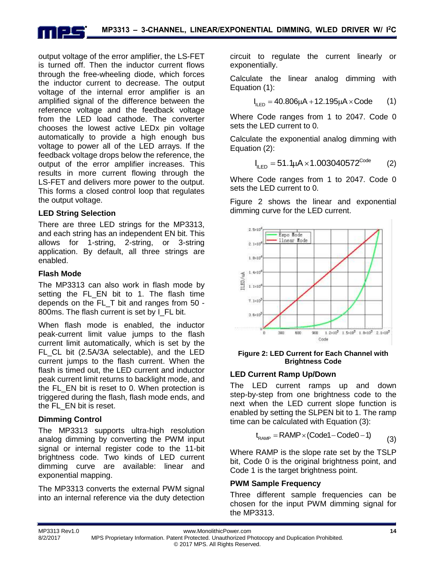output voltage of the error amplifier, the LS-FET is turned off. Then the inductor current flows through the free-wheeling diode, which forces the inductor current to decrease. The output voltage of the internal error amplifier is an amplified signal of the difference between the reference voltage and the feedback voltage from the LED load cathode. The converter chooses the lowest active LEDx pin voltage automatically to provide a high enough bus voltage to power all of the LED arrays. If the feedback voltage drops below the reference, the output of the error amplifier increases. This results in more current flowing through the LS-FET and delivers more power to the output. This forms a closed control loop that regulates the output voltage.

## **LED String Selection**

There are three LED strings for the MP3313, and each string has an independent EN bit. This allows for 1-string, 2-string, or 3-string application. By default, all three strings are enabled.

## **Flash Mode**

The MP3313 can also work in flash mode by setting the FL EN bit to 1. The flash time depends on the FL\_T bit and ranges from 50 - 800ms. The flash current is set by I\_FL bit.

When flash mode is enabled, the inductor peak-current limit value jumps to the flash current limit automatically, which is set by the FL\_CL bit (2.5A/3A selectable), and the LED current jumps to the flash current. When the flash is timed out, the LED current and inductor peak current limit returns to backlight mode, and the FL\_EN bit is reset to 0. When protection is triggered during the flash, flash mode ends, and the FL\_EN bit is reset.

## **Dimming Control**

The MP3313 supports ultra-high resolution analog dimming by converting the PWM input signal or internal register code to the 11-bit brightness code. Two kinds of LED current dimming curve are available: linear and exponential mapping.

The MP3313 converts the external PWM signal into an internal reference via the duty detection circuit to regulate the current linearly or exponentially.

Calculate the linear analog dimming with Equation (1):

on (1):  
\n
$$
I_{\text{LED}} = 40.806 \mu A + 12.195 \mu A \times \text{Code}
$$
 (1)

Where Code ranges from 1 to 2047. Code 0 sets the LED current to 0.

Calculate the exponential analog dimming with Equation (2):

$$
I_{\text{ILED}} = 51.1 \mu A \times 1.003040572^{\text{Code}} \qquad (2)
$$

Where Code ranges from 1 to 2047. Code 0 sets the LED current to 0.

Figure 2 shows the linear and exponential dimming curve for the LED current.



#### **Figure 2: LED Current for Each Channel with Brightness Code**

## **LED Current Ramp Up/Down**

The LED current ramps up and down step-by-step from one brightness code to the next when the LED current slope function is enabled by setting the SLPEN bit to 1. The ramp

time can be calculated with Equation (3):  

$$
t_{\text{RAMP}} = \text{RAMP} \times (\text{Code1} - \text{Code0} - 1)
$$
 (3)

Where RAMP is the slope rate set by the TSLP bit, Code 0 is the original brightness point, and Code 1 is the target brightness point.

## **PWM Sample Frequency**

Three different sample frequencies can be chosen for the input PWM dimming signal for the MP3313.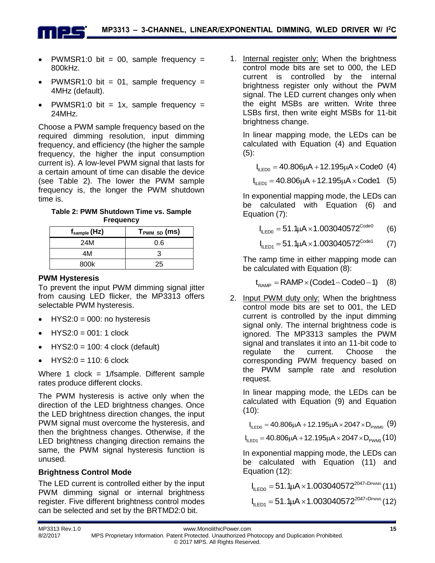- PWMSR1:0 bit = 00, sample frequency = 800kHz.
- PWMSR1:0 bit = 01, sample frequency = 4MHz (default).
- PWMSR1:0 bit = 1x, sample frequency = 24MHz.

Choose a PWM sample frequency based on the required dimming resolution, input dimming frequency, and efficiency (the higher the sample frequency, the higher the input consumption current is). A low-level PWM signal that lasts for a certain amount of time can disable the device (see Table 2). The lower the PWM sample frequency is, the longer the PWM shutdown time is.

**Table 2: PWM Shutdown Time vs. Sample Frequency**

| f <sub>sample</sub> (Hz) | T <sub>PWM_SD</sub> (ms) |
|--------------------------|--------------------------|
| 24M                      | 0.6                      |
| 4M                       |                          |
| 800k                     | 25                       |

## **PWM Hysteresis**

n i sla

To prevent the input PWM dimming signal jitter from causing LED flicker, the MP3313 offers selectable PWM hysteresis.

- $\bullet$  HYS2:0 = 000: no hysteresis
- $\bullet$  HYS2:0 = 001: 1 clock
- HYS2:0 = 100: 4 clock (default)
- $HYS2:0 = 110: 6$  clock

Where 1 clock =  $1$ /fsample. Different sample rates produce different clocks.

The PWM hysteresis is active only when the direction of the LED brightness changes. Once the LED brightness direction changes, the input PWM signal must overcome the hysteresis, and then the brightness changes. Otherwise, if the LED brightness changing direction remains the same, the PWM signal hysteresis function is unused.

## **Brightness Control Mode**

The LED current is controlled either by the input PWM dimming signal or internal brightness register. Five different brightness control modes can be selected and set by the BRTMD2:0 bit.

1. Internal register only: When the brightness control mode bits are set to 000, the LED current is controlled by the internal brightness register only without the PWM signal. The LED current changes only when the eight MSBs are written. Write three LSBs first, then write eight MSBs for 11-bit brightness change.

In linear mapping mode, the LEDs can be calculated with Equation (4) and Equation  $(5)$ :

 $I_{\text{LEDO}} = 40.806 \mu\text{A} + 12.195 \mu\text{A} \times \text{CodeO}$  (4)

 $I_{\text{lLED}0} = 40.806 \mu\text{A} + 12.195 \mu\text{A} \times \text{Code0} \tag{4}$ <br> $I_{\text{lLED}1} = 40.806 \mu\text{A} + 12.195 \mu\text{A} \times \text{Code1} \tag{5}$ 

In exponential mapping mode, the LEDs can be calculated with Equation (6) and Equation (7):

$$
I_{\text{ILEDO}} = 51.1 \mu A \times 1.003040572^{\text{CodeO}} \tag{6}
$$

Code1  $I_{\text{LED0}} = 51.1 \mu A \times 1.003040572$ (7)

The ramp time in either mapping mode can be calculated with Equation (8):

calculated with Equation (8):<br>t<sub>RAMP</sub> = RAMP×(Code1 – Code0 – 1) (8)

2. Input PWM duty only: When the brightness control mode bits are set to 001, the LED current is controlled by the input dimming signal only. The internal brightness code is ignored. The MP3313 samples the PWM signal and translates it into an 11-bit code to regulate the current. Choose the corresponding PWM frequency based on the PWM sample rate and resolution request.

In linear mapping mode, the LEDs can be calculated with Equation (9) and Equation (10):

10):<br>|<sub>ILED0</sub> = 40.806μA + 12.195μA × 2047 × D<sub>PWM0</sub> (9)<br>|<sub>ILED1</sub> = 40.806μA + 12.195μA × 2047 × D<sub>PWM1</sub> (10)  $I_{\text{H-EM}} = 40.806 \mu A + 12.195 \mu A \times 2047 \times D_{\text{PMM}}(10)$ 

In exponential mapping mode, the LEDs can be calculated with Equation (11) and Equation (12):

|uation (12):<br>I<sub>ILED0</sub> = 51.1μA ×1.003040572<sup>2047×DPwmo</sup> (11)

 $\rm{I_{\rm ILED0}} =$  51. IµA × 1.003040572 $\rm{^{2047\times\rm{DFWM1}}(12)}$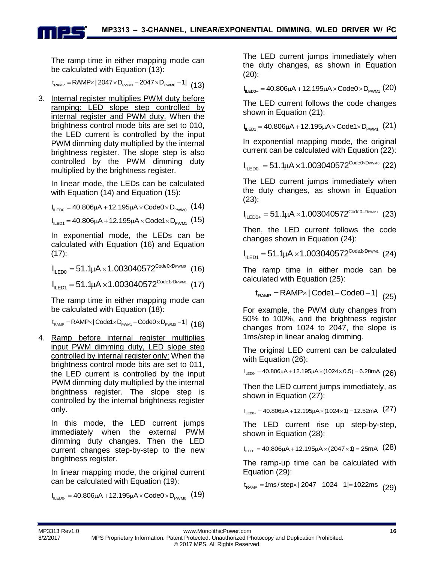The ramp time in either mapping mode can

be calculated with Equation (13):  

$$
t_{\text{RAMP}} = \text{RAMP} \times |2047 \times D_{\text{PWM}} - 2047 \times D_{\text{PWM}} - 1|
$$
 (13)

3. Internal register multiplies PWM duty before ramping: LED slope step controlled by internal register and PWM duty. When the brightness control mode bits are set to 010, the LED current is controlled by the input PWM dimming duty multiplied by the internal brightness register. The slope step is also controlled by the PWM dimming duty multiplied by the brightness register.

In linear mode, the LEDs can be calculated with Equation (14) and Equation (15):

with Equation (14) and Equation (15):<br>I<sub>ι∟ερο</sub> = 40.806μA +12.195μA ×Code0 ×D<sub>Ρwмο</sub> (14)

I<sub>ILED0</sub> = 40.806μA + 12.195μA × Code0 × D<sub>ρwM0</sub> (14)<br>I<sub>ILED1</sub> = 40.806μA + 12.195μA × Code1× D<sub>ρwM1</sub> (15)

In exponential mode, the LEDs can be calculated with Equation (16) and Equation  $(17)$ :

(17):<br>I<sub>llED0</sub> = 51.1µA ×1.003040572<sup>Code0×Dpwm0</sup> (16)

 $I_{\text{ILED1}} = 51.1 \mu\text{A} \times 1.003040572^{\text{Code} \text{I} \times \text{DPMM1}}}$  (16)<br> $I_{\text{ILED1}} = 51.1 \mu\text{A} \times 1.003040572^{\text{Code} \text{I} \times \text{DPMM1}}}$  (17)

The ramp time in either mapping mode can be calculated with Equation (18):

RAMP PWM1 PWM0 t RAMP | Code1 D Code0 D 1| (18)

4. Ramp before internal register multiplies input PWM dimming duty, LED slope step controlled by internal register only: When the brightness control mode bits are set to 011, the LED current is controlled by the input PWM dimming duty multiplied by the internal brightness register. The slope step is controlled by the internal brightness register only.

In this mode, the LED current jumps immediately when the external PWM dimming duty changes. Then the LED current changes step-by-step to the new brightness register.

In linear mapping mode, the original current can be calculated with Equation (19):

can be calculated with Equation (19):<br>I<sub>lLED0</sub>. = 40.806µA+12.195µA<mark>×Code0×D<sub>PWM0</sub>(19</mark>)

The LED current jumps immediately when the duty changes, as shown in Equation (20):

(20):<br>I<sub>ILED0+</sub> = 40.806μA + 12.195μA × Code0 × D<sub>PWM1</sub> (20)

The LED current follows the code changes shown in Equation (21):

shown in Equation (21):<br>I<sub>l∟εɒ1</sub> = 40.806μA +12.195μA × Code1×D<sub>Pwм1</sub> (21)

In exponential mapping mode, the original

current can be calculated with Equation (22):  
\n
$$
I_{\text{LEDO-}} = 51.1 \mu A \times 1.003040572^{\text{CodeO} \times \text{DFWM0}} \text{ (22)}
$$

The LED current jumps immediately when the duty changes, as shown in Equation (23):

(23):<br>I<sub>llED0+</sub> = 51.1µA × 1.003040572<sup>Code0×DPwm1</sup> (23)

Then, the LED current follows the code changes shown in Equation (24):

changes shown in Equation (24):<br>I<sub>lLED1</sub> = 51.1µA ×1.003040572<sup>Code1×DPwm1</sup>(24)

The ramp time in either mode can be calculated with Equation (25):

ulated with Equation (25):<br>t<sub>RAMP</sub> = RAMP×| Code1 – Code0 –1| <sub>(25)</sub>

For example, the PWM duty changes from 50% to 100%, and the brightness register changes from 1024 to 2047, the slope is 1ms/step in linear analog dimming.

The original LED current can be calculated with Equation (26): with Equation (26):<br>I<sub>ILED0</sub>. = 40.806µA +12.195µA × (1024×0.5) = 6.28mA (26)

Then the LED current jumps immediately, as shown in Equation (27):

shown in Equation (27):<br>I<sub>llED0+</sub> = 40.806µA +12.195µA×(1024×1) =12.52mA <mark>(27</mark>)

The LED current rise up step-by-step, shown in Equation (28):

shown in Equation (28):<br>I<sub>lLED1</sub> = 40.806μA +12.195μA × (2047 ×1) = 25mA <mark>(28</mark>)

The ramp-up time can be calculated with Equation (29):

Equation (29):<br>t<sub>ramp</sub> = 1ms/step×| 2047 –1024 –1|=1022ms <sub>(</sub>29)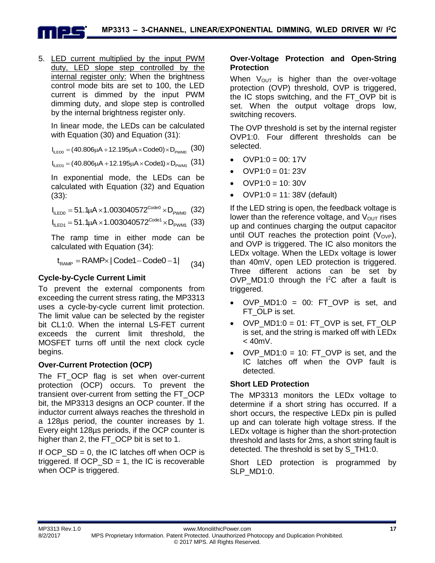5. LED current multiplied by the input PWM duty, LED slope step controlled by the internal register only: When the brightness control mode bits are set to 100, the LED current is dimmed by the input PWM dimming duty, and slope step is controlled by the internal brightness register only.

In linear mode, the LEDs can be calculated with Equation (30) and Equation (31):

with Equation (30) and Equation (31):<br>I<sub>lLED0</sub> = (40.806µA +12.195µA × Code0)×D<sub>PWM0</sub> (30<mark>)</mark>

I<sub>ILED0</sub> = (40.806μA + 12.195μA × Code0) × D<sub>PWM0</sub> (30)<br>I<sub>ILED1</sub> = (40.806μA + 12.195μA × Code1) × D<sub>PWM1</sub> (31)

In exponential mode, the LEDs can be calculated with Equation (32) and Equation (33):

Code0 (33):<br>I<sub>ILED0</sub> = 51.1µA ×1.003040572<sup>Code0</sup> ×D<sub>PWM0</sub> (32)<br>I<sub>ILED1</sub> = 51.1µA ×1.003040572<sup>Code1</sup> ×D<sub>PWM1</sub> (33)

$$
I_{\text{II} \text{ ED1}} = 51.1 \mu A \times 1.003040572^{\text{Code1}} \times D_{\text{PWM1}} \text{ (33)}
$$

The ramp time in either mode can be

calculated with Equation (34):  

$$
t_{\text{RAMP}} = \text{RAMP} \times |\text{Code1} - \text{Code0} - 1|
$$
 (34)

## **Cycle-by-Cycle Current Limit**

To prevent the external components from exceeding the current stress rating, the MP3313 uses a cycle-by-cycle current limit protection. The limit value can be selected by the register bit CL1:0. When the internal LS-FET current exceeds the current limit threshold, the MOSFET turns off until the next clock cycle begins.

## **Over-Current Protection (OCP)**

The FT OCP flag is set when over-current protection (OCP) occurs. To prevent the transient over-current from setting the FT\_OCP bit, the MP3313 designs an OCP counter. If the inductor current always reaches the threshold in a 128µs period, the counter increases by 1. Every eight 128µs periods, if the OCP counter is higher than 2, the FT OCP bit is set to 1.

If  $OCP\_SD = 0$ , the IC latches off when  $OCP$  is triggered. If  $OCP\_SD = 1$ , the IC is recoverable when OCP is triggered.

## **Over-Voltage Protection and Open-String Protection**

When  $V_{OUT}$  is higher than the over-voltage protection (OVP) threshold, OVP is triggered. the IC stops switching, and the FT\_OVP bit is set. When the output voltage drops low, switching recovers.

The OVP threshold is set by the internal register OVP1:0. Four different thresholds can be selected.

- $OVP1:0 = 00:17V$
- $OVP1:0 = 01:23V$
- $OVP1:0 = 10:30V$
- OVP1:0 = 11: 38V (default)

If the LED string is open, the feedback voltage is lower than the reference voltage, and  $V_{\text{OUT}}$  rises up and continues charging the output capacitor until OUT reaches the protection point  $(V_{OVP})$ , and OVP is triggered. The IC also monitors the LEDx voltage. When the LEDx voltage is lower than 40mV, open LED protection is triggered. Three different actions can be set by OVP MD1:0 through the  $I^2C$  after a fault is triggered.

- $\bullet$  OVP MD1:0 = 00: FT OVP is set, and FT OLP is set.
- OVP\_MD1:0 = 01: FT\_OVP is set, FT\_OLP is set, and the string is marked off with LEDx  $< 40$ m $V<sub>1</sub>$ .
- $OVP_MD1:0 = 10$ : FT\_OVP is set, and the IC latches off when the OVP fault is detected.

## **Short LED Protection**

The MP3313 monitors the LEDx voltage to determine if a short string has occurred. If a short occurs, the respective LEDx pin is pulled up and can tolerate high voltage stress. If the LEDx voltage is higher than the short-protection threshold and lasts for 2ms, a short string fault is detected. The threshold is set by S\_TH1:0.

Short LED protection is programmed by SLP\_MD1:0.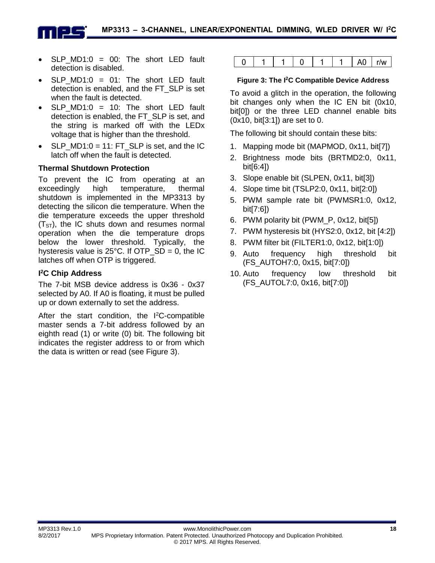

- SLP  $MD1:0 = 00$ : The short LED fault detection is disabled.
- SLP  $MD1:0 = 01$ : The short LED fault detection is enabled, and the FT\_SLP is set when the fault is detected.
- SLP  $MD1:0 = 10$ : The short LED fault detection is enabled, the FT\_SLP is set, and the string is marked off with the LEDx voltage that is higher than the threshold.
- $\bullet$  SLP MD1:0 = 11: FT SLP is set, and the IC latch off when the fault is detected.

## **Thermal Shutdown Protection**

To prevent the IC from operating at an exceedingly high temperature, thermal shutdown is implemented in the MP3313 by detecting the silicon die temperature. When the die temperature exceeds the upper threshold  $(T<sub>ST</sub>)$ , the IC shuts down and resumes normal operation when the die temperature drops below the lower threshold. Typically, the hysteresis value is  $25^{\circ}$ C. If OTP\_SD = 0, the IC latches off when OTP is triggered.

## **I <sup>2</sup>C Chip Address**

The 7-bit MSB device address is 0x36 - 0x37 selected by A0. If A0 is floating, it must be pulled up or down externally to set the address.

After the start condition, the  $I^2C$ -compatible master sends a 7-bit address followed by an eighth read (1) or write (0) bit. The following bit indicates the register address to or from which the data is written or read (see Figure 3).

|  |  |  |  |  | ^<br>. . | r/w<br>$\blacksquare$ |
|--|--|--|--|--|----------|-----------------------|
|--|--|--|--|--|----------|-----------------------|

#### **Figure 3: The I<sup>2</sup>C Compatible Device Address**

To avoid a glitch in the operation, the following bit changes only when the IC EN bit (0x10, bit[0]) or the three LED channel enable bits (0x10, bit[3:1]) are set to 0.

The following bit should contain these bits:

- 1. Mapping mode bit (MAPMOD, 0x11, bit[7])
- 2. Brightness mode bits (BRTMD2:0, 0x11, bit[6:4])
- 3. Slope enable bit (SLPEN, 0x11, bit[3])
- 4. Slope time bit (TSLP2:0, 0x11, bit[2:0])
- 5. PWM sample rate bit (PWMSR1:0, 0x12, bit[7:6])
- 6. PWM polarity bit (PWM\_P, 0x12, bit[5])
- 7. PWM hysteresis bit (HYS2:0, 0x12, bit [4:2])
- 8. PWM filter bit (FILTER1:0, 0x12, bit[1:0])
- 9. Auto frequency high threshold bit (FS\_AUTOH7:0, 0x15, bit[7:0])
- 10. Auto frequency low threshold bit (FS\_AUTOL7:0, 0x16, bit[7:0])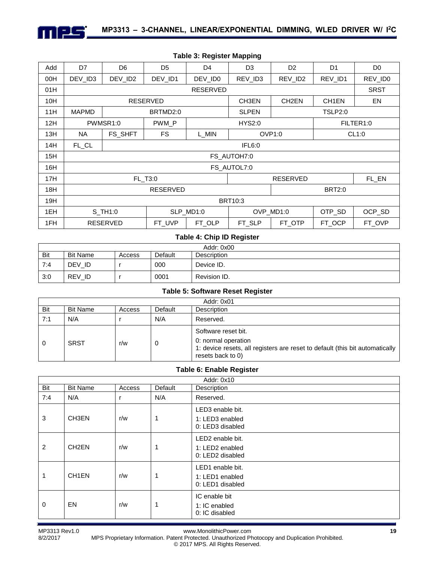

| Add | D7                               | D <sub>6</sub>  | D <sub>5</sub>  | D <sub>4</sub>  | D <sub>3</sub>      | D <sub>2</sub>     | D <sub>1</sub>     | D <sub>0</sub> |  |
|-----|----------------------------------|-----------------|-----------------|-----------------|---------------------|--------------------|--------------------|----------------|--|
| 00H | DEV ID3                          | DEV_ID2         | DEV_ID1         | DEV_ID0         | REV_ID3             | REV_ID2            | REV_ID1            | REV_ID0        |  |
| 01H |                                  |                 |                 | <b>RESERVED</b> |                     |                    |                    | <b>SRST</b>    |  |
| 10H |                                  |                 | <b>RESERVED</b> |                 | CH3EN               | CH <sub>2</sub> EN | CH <sub>1</sub> EN | EN             |  |
| 11H | <b>MAPMD</b>                     |                 | BRTMD2:0        |                 | <b>SLPEN</b>        |                    | TSLP2:0            |                |  |
| 12H |                                  | PWMSR1:0        | PWM P           |                 | <b>HYS2:0</b>       |                    | FILTER1:0          |                |  |
| 13H | NA.                              | FS_SHFT         | <b>FS</b>       | L MIN           | OVP <sub>1:0</sub>  |                    | CL1:0              |                |  |
| 14H | FL_CL                            |                 | IFL6:0          |                 |                     |                    |                    |                |  |
| 15H |                                  |                 |                 |                 | FS_AUTOH7:0         |                    |                    |                |  |
| 16H |                                  |                 |                 |                 | FS_AUTOL7:0         |                    |                    |                |  |
| 17H |                                  |                 | FL_T3:0         |                 |                     | <b>RESERVED</b>    |                    | FL_EN          |  |
| 18H | <b>RESERVED</b><br><b>BRT2:0</b> |                 |                 |                 |                     |                    |                    |                |  |
| 19H |                                  |                 |                 |                 | <b>BRT10:3</b>      |                    |                    |                |  |
| 1EH |                                  | S_TH1:0         |                 | SLP MD1:0       | OTP_SD<br>OVP MD1:0 |                    |                    | OCP_SD         |  |
| 1FH |                                  | <b>RESERVED</b> | FT UVP          | FT_OLP          | FT_SLP              | FT OTP             | FT_OCP             | FT_OVP         |  |

#### **Table 3: Register Mapping**

#### **Table 4: Chip ID Register**

|     | Addr: 0x00      |        |         |              |  |
|-----|-----------------|--------|---------|--------------|--|
| Bit | <b>Bit Name</b> | Access | Default | Description  |  |
| 7:4 | DEV ID          |        | 000     | Device ID.   |  |
| 3:0 | REV ID          |        | 0001    | Revision ID. |  |

#### **Table 5: Software Reset Register**

|     | Addr: 0x01      |        |         |                                                                                                                                                 |  |
|-----|-----------------|--------|---------|-------------------------------------------------------------------------------------------------------------------------------------------------|--|
| Bit | <b>Bit Name</b> | Access | Default | Description                                                                                                                                     |  |
| 7:1 | N/A             |        | N/A     | Reserved.                                                                                                                                       |  |
| 0   | <b>SRST</b>     | r/w    | U       | Software reset bit.<br>0: normal operation<br>1: device resets, all registers are reset to default (this bit automatically<br>resets back to 0) |  |

#### **Table 6: Enable Register**

|             | Addr: 0x10         |        |         |                                                                     |  |  |
|-------------|--------------------|--------|---------|---------------------------------------------------------------------|--|--|
| Bit         | <b>Bit Name</b>    | Access | Default | Description                                                         |  |  |
| 7:4         | N/A                | r      | N/A     | Reserved.                                                           |  |  |
| 3           | CH3EN              | r/w    |         | LED3 enable bit.<br>1: LED3 enabled<br>0: LED3 disabled             |  |  |
| 2           | CH <sub>2</sub> EN | r/w    |         | LED <sub>2</sub> enable bit.<br>1: LED2 enabled<br>0: LED2 disabled |  |  |
| 1           | CH <sub>1</sub> EN | r/w    |         | LED1 enable bit.<br>1: LED1 enabled<br>0: LED1 disabled             |  |  |
| $\mathbf 0$ | EN                 | r/w    |         | IC enable bit<br>1: IC enabled<br>0: IC disabled                    |  |  |

MP3313 Rev1.0 www.MonolithicPower.com **19**

8/2/2017 MPS Proprietary Information. Patent Protected. Unauthorized Photocopy and Duplication Prohibited. © 2017 MPS. All Rights Reserved.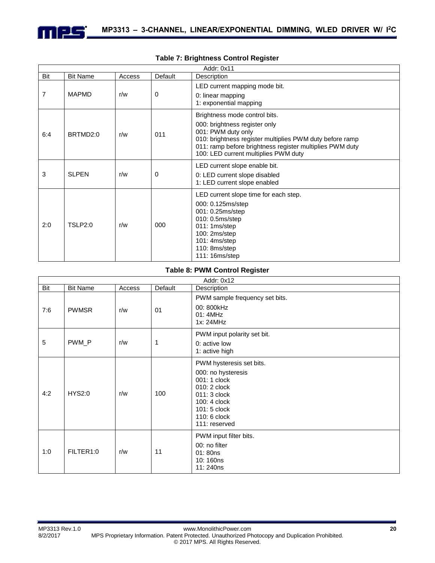

|     | Addr: 0x11      |        |         |                                                                                                                                                                                                                                                      |  |  |  |
|-----|-----------------|--------|---------|------------------------------------------------------------------------------------------------------------------------------------------------------------------------------------------------------------------------------------------------------|--|--|--|
| Bit | <b>Bit Name</b> | Access | Default | Description                                                                                                                                                                                                                                          |  |  |  |
| 7   | <b>MAPMD</b>    | r/w    | 0       | LED current mapping mode bit.<br>0: linear mapping<br>1: exponential mapping                                                                                                                                                                         |  |  |  |
| 6:4 | BRTMD2:0        | r/w    | 011     | Brightness mode control bits.<br>000: brightness register only<br>001: PWM duty only<br>010: brightness register multiplies PWM duty before ramp<br>011: ramp before brightness register multiplies PWM duty<br>100: LED current multiplies PWM duty |  |  |  |
| 3   | <b>SLPEN</b>    | r/w    | 0       | LED current slope enable bit.<br>0: LED current slope disabled<br>1: LED current slope enabled                                                                                                                                                       |  |  |  |
| 2:0 | <b>TSLP2:0</b>  | r/w    | 000     | LED current slope time for each step.<br>000: 0.125ms/step<br>001: 0.25ms/step<br>010: 0.5ms/step<br>011: 1ms/step<br>100: 2ms/step<br>101: 4ms/step<br>110: 8ms/step<br>111: 16ms/step                                                              |  |  |  |

#### **Table 7: Brightness Control Register**

## **Table 8: PWM Control Register**

|     | Addr: 0x12      |        |         |                                                                                                                                                                 |  |  |  |
|-----|-----------------|--------|---------|-----------------------------------------------------------------------------------------------------------------------------------------------------------------|--|--|--|
| Bit | <b>Bit Name</b> | Access | Default | Description                                                                                                                                                     |  |  |  |
| 7:6 | <b>PWMSR</b>    | r/w    | 01      | PWM sample frequency set bits.<br>00: 800kHz<br>01: 4MHz<br>1x: 24MHz                                                                                           |  |  |  |
| 5   | PWM_P           | r/w    | 1       | PWM input polarity set bit.<br>0: active low<br>1: active high                                                                                                  |  |  |  |
| 4:2 | <b>HYS2:0</b>   | r/w    | 100     | PWM hysteresis set bits.<br>000: no hysteresis<br>001: 1 clock<br>010: 2 clock<br>011: 3 clock<br>100: 4 clock<br>101: 5 clock<br>110: 6 clock<br>111: reserved |  |  |  |
| 1:0 | FILTER1:0       | r/w    | 11      | PWM input filter bits.<br>00: no filter<br>01:80ns<br>10:160ns<br>11:240ns                                                                                      |  |  |  |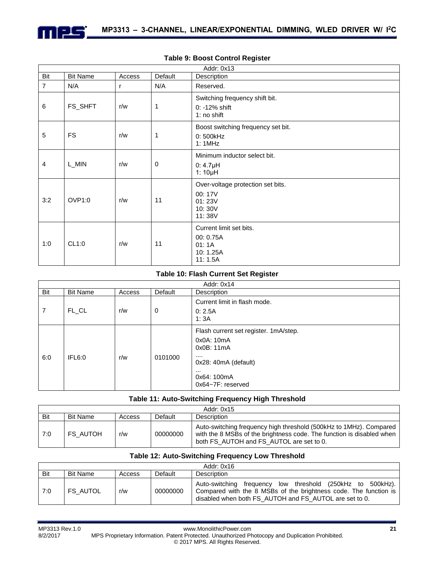

|                | Addr: 0x13      |        |             |                                                                           |  |  |  |
|----------------|-----------------|--------|-------------|---------------------------------------------------------------------------|--|--|--|
| Bit            | <b>Bit Name</b> | Access | Default     | Description                                                               |  |  |  |
| $\overline{7}$ | N/A             | r      | N/A         | Reserved.                                                                 |  |  |  |
| 6              | FS_SHFT         | r/w    | 1           | Switching frequency shift bit.<br>$0: -12\%$ shift<br>1: no shift         |  |  |  |
| 5              | <b>FS</b>       | r/w    | 1           | Boost switching frequency set bit.<br>0: 500kHz<br>1: 1MHz                |  |  |  |
| $\overline{4}$ | L_MIN           | r/w    | $\mathbf 0$ | Minimum inductor select bit.<br>$0:4.7\mu H$<br>1: $10\mu$ H              |  |  |  |
| 3:2            | OVP1:0          | r/w    | 11          | Over-voltage protection set bits.<br>00:17V<br>01:23V<br>10:30V<br>11:38V |  |  |  |
| 1:0            | CL1:0           | r/w    | 11          | Current limit set bits.<br>00: 0.75A<br>01:1A<br>10:1.25A<br>11:1.5A      |  |  |  |

#### **Table 9: Boost Control Register**

#### **Table 10: Flash Current Set Register**

|     | Addr: 0x14      |        |             |                                                                                                                                                    |  |  |
|-----|-----------------|--------|-------------|----------------------------------------------------------------------------------------------------------------------------------------------------|--|--|
| Bit | <b>Bit Name</b> | Access | Default     | Description                                                                                                                                        |  |  |
| 7   | FL_CL           | r/w    | $\mathbf 0$ | Current limit in flash mode.<br>0: 2.5A<br>1:3A                                                                                                    |  |  |
| 6:0 | IFL6:0          | r/w    | 0101000     | Flash current set register. 1mA/step.<br>0x0A: 10mA<br>0x0B: 11mA<br><br>0x28: 40mA (default)<br>$\cdots$<br>0x64: 100mA<br>$0x64 - 7F$ : reserved |  |  |

#### **Table 11: Auto-Switching Frequency High Threshold**

| Addr: 0x15 |                 |        |          |                                                                                                                                                                                         |
|------------|-----------------|--------|----------|-----------------------------------------------------------------------------------------------------------------------------------------------------------------------------------------|
| Bit        | <b>Bit Name</b> | Access | Default  | Description                                                                                                                                                                             |
| 7:0        | FS AUTOH        | r/w    | 00000000 | Auto-switching frequency high threshold (500kHz to 1MHz). Compared<br>with the 8 MSBs of the brightness code. The function is disabled when<br>both FS AUTOH and FS AUTOL are set to 0. |

#### **Table 12: Auto-Switching Frequency Low Threshold**

|     | Addr: 0x16      |        |          |                                                                                                                                                                                          |  |  |
|-----|-----------------|--------|----------|------------------------------------------------------------------------------------------------------------------------------------------------------------------------------------------|--|--|
| Bit | <b>Bit Name</b> | Access | Default  | Description                                                                                                                                                                              |  |  |
| 7:0 | <b>FS AUTOL</b> | r/w    | 00000000 | Auto-switching frequency low threshold (250kHz to 500kHz).<br>Compared with the 8 MSBs of the brightness code. The function is<br>disabled when both FS AUTOH and FS AUTOL are set to 0. |  |  |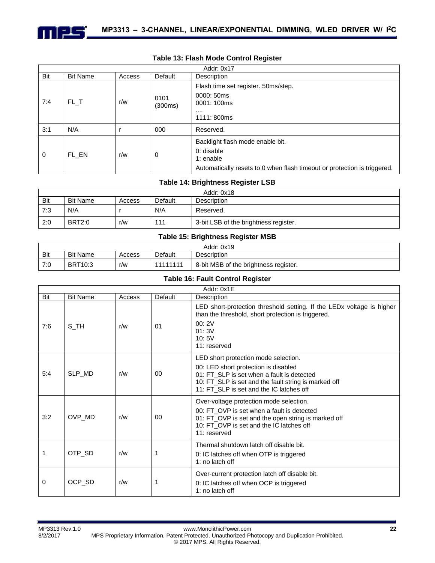

|             | Addr: 0x17      |        |                 |                                                                                                                                           |  |
|-------------|-----------------|--------|-----------------|-------------------------------------------------------------------------------------------------------------------------------------------|--|
| Bit         | <b>Bit Name</b> | Access | Default         | Description                                                                                                                               |  |
| 7:4         | FL T            | r/w    | 0101<br>(300ms) | Flash time set register. 50ms/step.<br>0000: 50ms<br>0001:100ms<br><br>1111:800ms                                                         |  |
| 3:1         | N/A             |        | 000             | Reserved.                                                                                                                                 |  |
| $\mathbf 0$ | FL EN           | r/w    | 0               | Backlight flash mode enable bit.<br>0: disable<br>1: $enable$<br>Automatically resets to 0 when flash timeout or protection is triggered. |  |

#### **Table 13: Flash Mode Control Register**

#### **Table 14: Brightness Register LSB**

| Addr: 0x18 |                 |        |         |                                       |  |
|------------|-----------------|--------|---------|---------------------------------------|--|
| Bit        | <b>Bit Name</b> | Access | Default | Description                           |  |
| 7:3        | N/A             |        | N/A     | Reserved.                             |  |
| 2:0        | <b>BRT2:0</b>   | r/w    | 111     | 3-bit LSB of the brightness register. |  |

#### **Table 15: Brightness Register MSB**

|     | Addr: 0x19      |        |          |                                       |  |  |
|-----|-----------------|--------|----------|---------------------------------------|--|--|
| Bit | <b>Bit Name</b> | Access | Default  | <b>Description</b>                    |  |  |
| 7:0 | <b>BRT10:3</b>  | r/w    | 11111111 | 8-bit MSB of the brightness register. |  |  |

#### **Table 16: Fault Control Register**

|     | Addr: 0x1E      |        |         |                                                                                                                                                                                                                                |  |  |  |  |
|-----|-----------------|--------|---------|--------------------------------------------------------------------------------------------------------------------------------------------------------------------------------------------------------------------------------|--|--|--|--|
| Bit | <b>Bit Name</b> | Access | Default | Description                                                                                                                                                                                                                    |  |  |  |  |
| 7:6 | $S$ _TH         | r/w    | 01      | LED short-protection threshold setting. If the LED <sub>x</sub> voltage is higher<br>than the threshold, short protection is triggered.<br>00:2V<br>01:3V<br>10:5V<br>11: reserved                                             |  |  |  |  |
| 5:4 | SLP_MD          | r/w    | 00      | LED short protection mode selection.<br>00: LED short protection is disabled<br>01: FT_SLP is set when a fault is detected<br>10: FT_SLP is set and the fault string is marked off<br>11: FT_SLP is set and the IC latches off |  |  |  |  |
| 3:2 | OVP_MD          | r/w    | 00      | Over-voltage protection mode selection.<br>00: FT OVP is set when a fault is detected<br>01: FT_OVP is set and the open string is marked off<br>10: FT_OVP is set and the IC latches off<br>11: reserved                       |  |  |  |  |
| 1   | OTP_SD          | r/w    |         | Thermal shutdown latch off disable bit.<br>0: IC latches off when OTP is triggered<br>1: no latch off                                                                                                                          |  |  |  |  |
| 0   | OCP_SD          | r/w    |         | Over-current protection latch off disable bit.<br>0: IC latches off when OCP is triggered<br>1: no latch off                                                                                                                   |  |  |  |  |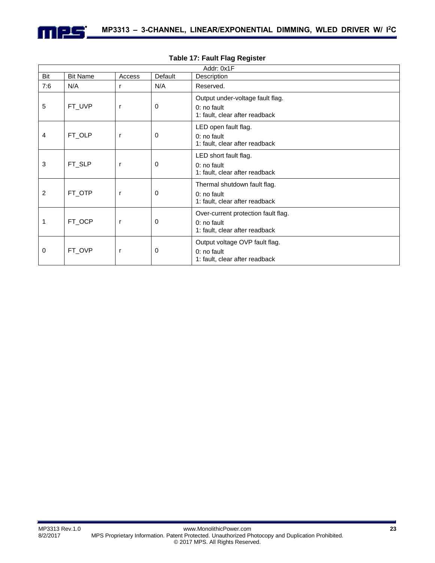

| Addr: 0x1F |                 |              |         |                                                                                        |  |  |
|------------|-----------------|--------------|---------|----------------------------------------------------------------------------------------|--|--|
| Bit        | <b>Bit Name</b> | Access       | Default | Description                                                                            |  |  |
| 7:6        | N/A             | r            | N/A     | Reserved.                                                                              |  |  |
| 5          | FT_UVP          | r            | 0       | Output under-voltage fault flag.<br>$0:$ no fault<br>1: fault, clear after readback    |  |  |
| 4          | FT_OLP          | r            | 0       | LED open fault flag.<br>0: no fault<br>1: fault, clear after readback                  |  |  |
| 3          | FT_SLP          | r            | 0       | LED short fault flag.<br>0: no fault<br>1: fault, clear after readback                 |  |  |
| 2          | FT_OTP          | r            | 0       | Thermal shutdown fault flag.<br>0: no fault<br>1: fault, clear after readback          |  |  |
| 1          | FT_OCP          | $\mathsf{r}$ | 0       | Over-current protection fault flag.<br>$0:$ no fault<br>1: fault, clear after readback |  |  |
| 0          | FT_OVP          | r            | 0       | Output voltage OVP fault flag.<br>0: no fault<br>1: fault, clear after readback        |  |  |

#### **Table 17: Fault Flag Register**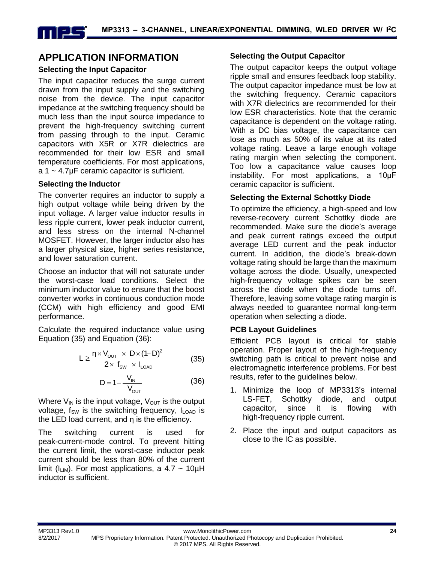## **APPLICATION INFORMATION**

## **Selecting the Input Capacitor**

The input capacitor reduces the surge current drawn from the input supply and the switching noise from the device. The input capacitor impedance at the switching frequency should be much less than the input source impedance to prevent the high-frequency switching current from passing through to the input. Ceramic capacitors with X5R or X7R dielectrics are recommended for their low ESR and small temperature coefficients. For most applications, a 1 ~ 4.7μF ceramic capacitor is sufficient.

## **Selecting the Inductor**

The converter requires an inductor to supply a high output voltage while being driven by the input voltage. A larger value inductor results in less ripple current, lower peak inductor current, and less stress on the internal N-channel MOSFET. However, the larger inductor also has a larger physical size, higher series resistance, and lower saturation current.

Choose an inductor that will not saturate under the worst-case load conditions. Select the minimum inductor value to ensure that the boost converter works in continuous conduction mode (CCM) with high efficiency and good EMI performance.

Calculate the required inductance value using Equation (35) and Equation (36):

$$
L \geq \frac{\eta \times V_{\text{OUT}} \ \times \ D \times (1-D)^2}{2 \times \ f_{\text{SW}} \ \times \ I_{\text{LOAD}}}\qquad \qquad (35)
$$

$$
D = 1 - \frac{V_{IN}}{V_{OUT}} \tag{36}
$$

Where  $V_{\text{IN}}$  is the input voltage,  $V_{\text{OUT}}$  is the output voltage,  $f_{SW}$  is the switching frequency,  $I_{LOAD}$  is the LED load current, and η is the efficiency.

The switching current is used for peak-current-mode control. To prevent hitting the current limit, the worst-case inductor peak current should be less than 80% of the current limit ( $I_{LIM}$ ). For most applications, a 4.7 ~ 10 $\mu$ H inductor is sufficient.

## **Selecting the Output Capacitor**

The output capacitor keeps the output voltage ripple small and ensures feedback loop stability. The output capacitor impedance must be low at the switching frequency. Ceramic capacitors with X7R dielectrics are recommended for their low ESR characteristics. Note that the ceramic capacitance is dependent on the voltage rating. With a DC bias voltage, the capacitance can lose as much as 50% of its value at its rated voltage rating. Leave a large enough voltage rating margin when selecting the component. Too low a capacitance value causes loop instability. For most applications, a 10μF ceramic capacitor is sufficient.

## **Selecting the External Schottky Diode**

To optimize the efficiency, a high-speed and low reverse-recovery current Schottky diode are recommended. Make sure the diode's average and peak current ratings exceed the output average LED current and the peak inductor current. In addition, the diode's break-down voltage rating should be large than the maximum voltage across the diode. Usually, unexpected high-frequency voltage spikes can be seen across the diode when the diode turns off. Therefore, leaving some voltage rating margin is always needed to guarantee normal long-term operation when selecting a diode.

## **PCB Layout Guidelines**

Efficient PCB layout is critical for stable operation. Proper layout of the high-frequency switching path is critical to prevent noise and electromagnetic interference problems. For best results, refer to the guidelines below.

- 1. Minimize the loop of MP3313's internal LS-FET, Schottky diode, and output capacitor, since it is flowing with high-frequency ripple current.
- 2. Place the input and output capacitors as close to the IC as possible.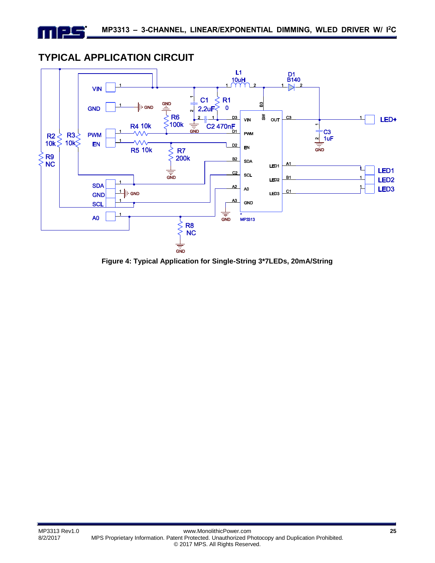## **TYPICAL APPLICATION CIRCUIT**

<u>- 15</u>

1 T L



**Figure 4: Typical Application for Single-String 3\*7LEDs, 20mA/String**